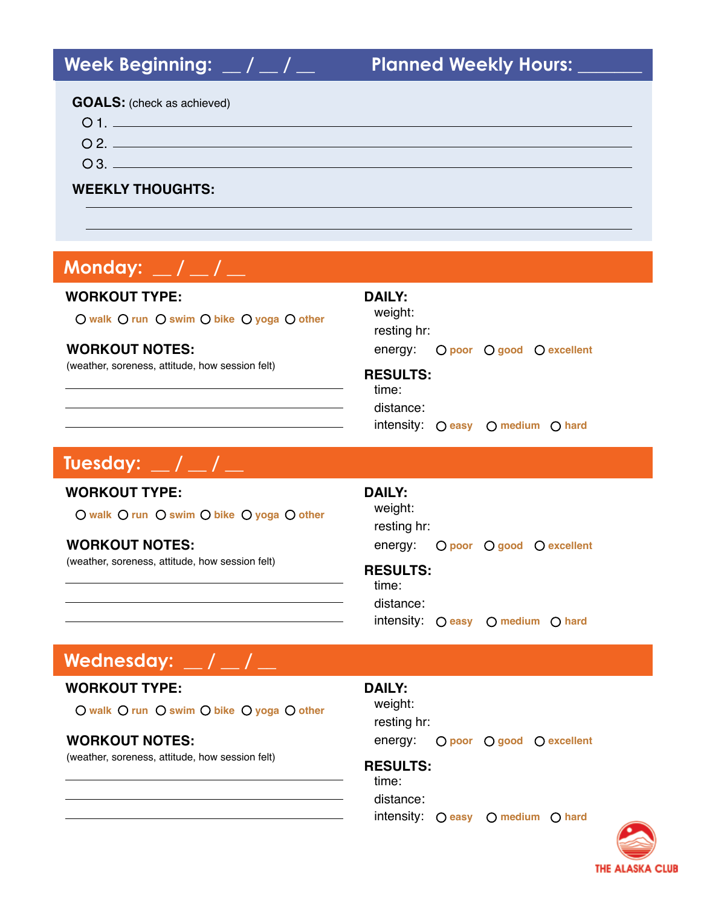| <b>GOALS:</b> (check as achieved) |  |
|-----------------------------------|--|
|                                   |  |
|                                   |  |
| $\Omega$ 3. $\blacksquare$        |  |
| <b>WEEKLY THOUGHTS:</b>           |  |

# **MONDAY: / / Monday: \_\_ / \_\_ / \_\_**

### **WORKOUT TYPE:**

**walk run swim bike yoga other**

### **WORKOUT NOTES:**

(weather, soreness, attitude, how session felt) **RESULTS:**

| <b>DAILY:</b> |
|---------------|
| weight:       |

resting hr:

energy: **poor good excellent**

time: distance:

intensity: **easy medium hard**

# **TUESDAY: / / Tuesday: \_\_ / \_\_ / \_\_**

### **WORKOUT TYPE:**

**walk run swim bike yoga other**

### **WORKOUT NOTES:**

(weather, soreness, attitude, how session felt) **RESULTS:**

# **DAILY:**

weight: resting hr: energy: **poor good excellent**

time: distance: intensity: **easy medium hard**

# **Wednesday: \_\_ / \_\_ / \_\_**

### **WORKOUT TYPE:**

**O** walk O run O swim O bike O yoga O other

### **WORKOUT NOTES:**

(weather, soreness, attitude, how session felt)

#### **DAILY:**

weight: resting hr: energy: **poor O** good **O** excellent

### **RESULTS:**

time: distance: intensity: **easy medium hard**